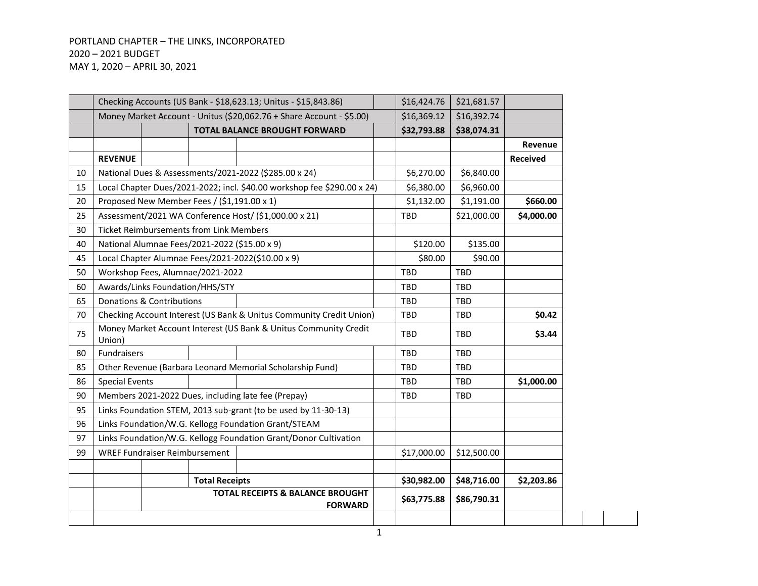# PORTLAND CHAPTER – THE LINKS, INCORPORATED – 2021 BUDGET MAY 1, 2020 – APRIL 30, 2021

|    |                       |                                                                  |                       | Checking Accounts (US Bank - \$18,623.13; Unitus - \$15,843.86)         | \$16,424.76 | \$21,681.57 |                 |
|----|-----------------------|------------------------------------------------------------------|-----------------------|-------------------------------------------------------------------------|-------------|-------------|-----------------|
|    |                       |                                                                  |                       | Money Market Account - Unitus (\$20,062.76 + Share Account - \$5.00)    | \$16,369.12 | \$16,392.74 |                 |
|    |                       |                                                                  |                       | <b>TOTAL BALANCE BROUGHT FORWARD</b>                                    | \$32,793.88 | \$38,074.31 |                 |
|    |                       |                                                                  |                       |                                                                         |             |             | Revenue         |
|    | <b>REVENUE</b>        |                                                                  |                       |                                                                         |             |             | <b>Received</b> |
| 10 |                       |                                                                  |                       | National Dues & Assessments/2021-2022 (\$285.00 x 24)                   | \$6,270.00  | \$6,840.00  |                 |
| 15 |                       |                                                                  |                       | Local Chapter Dues/2021-2022; incl. \$40.00 workshop fee \$290.00 x 24) | \$6,380.00  | \$6,960.00  |                 |
| 20 |                       | Proposed New Member Fees / (\$1,191.00 x 1)                      |                       |                                                                         | \$1,132.00  | \$1,191.00  | \$660.00        |
| 25 |                       | Assessment/2021 WA Conference Host/ (\$1,000.00 x 21)            |                       | <b>TBD</b>                                                              | \$21,000.00 | \$4,000.00  |                 |
| 30 |                       | <b>Ticket Reimbursements from Link Members</b>                   |                       |                                                                         |             |             |                 |
| 40 |                       | National Alumnae Fees/2021-2022 (\$15.00 x 9)                    |                       | \$120.00                                                                | \$135.00    |             |                 |
| 45 |                       | Local Chapter Alumnae Fees/2021-2022(\$10.00 x 9)                |                       | \$80.00                                                                 | \$90.00     |             |                 |
| 50 |                       | Workshop Fees, Alumnae/2021-2022                                 |                       | <b>TBD</b>                                                              | TBD         |             |                 |
| 60 |                       | Awards/Links Foundation/HHS/STY                                  |                       | <b>TBD</b>                                                              | TBD         |             |                 |
| 65 |                       | Donations & Contributions                                        |                       | <b>TBD</b>                                                              | TBD         |             |                 |
| 70 |                       |                                                                  |                       | Checking Account Interest (US Bank & Unitus Community Credit Union)     | TBD         | TBD         | \$0.42          |
| 75 | Union)                | Money Market Account Interest (US Bank & Unitus Community Credit |                       | <b>TBD</b>                                                              | TBD         | \$3.44      |                 |
| 80 | Fundraisers           |                                                                  |                       |                                                                         | <b>TBD</b>  | <b>TBD</b>  |                 |
| 85 |                       |                                                                  |                       | Other Revenue (Barbara Leonard Memorial Scholarship Fund)               | TBD         | TBD         |                 |
| 86 | <b>Special Events</b> |                                                                  |                       |                                                                         | <b>TBD</b>  | TBD         | \$1,000.00      |
| 90 |                       |                                                                  |                       | Members 2021-2022 Dues, including late fee (Prepay)                     | <b>TBD</b>  | TBD         |                 |
| 95 |                       |                                                                  |                       | Links Foundation STEM, 2013 sub-grant (to be used by 11-30-13)          |             |             |                 |
| 96 |                       |                                                                  |                       | Links Foundation/W.G. Kellogg Foundation Grant/STEAM                    |             |             |                 |
| 97 |                       |                                                                  |                       | Links Foundation/W.G. Kellogg Foundation Grant/Donor Cultivation        |             |             |                 |
| 99 |                       | <b>WREF Fundraiser Reimbursement</b>                             |                       |                                                                         | \$17,000.00 | \$12,500.00 |                 |
|    |                       |                                                                  |                       |                                                                         |             |             |                 |
|    |                       |                                                                  | <b>Total Receipts</b> |                                                                         | \$30,982.00 | \$48,716.00 | \$2,203.86      |
|    |                       |                                                                  |                       | <b>TOTAL RECEIPTS &amp; BALANCE BROUGHT</b><br><b>FORWARD</b>           | \$63,775.88 | \$86,790.31 |                 |
|    |                       |                                                                  |                       |                                                                         |             |             |                 |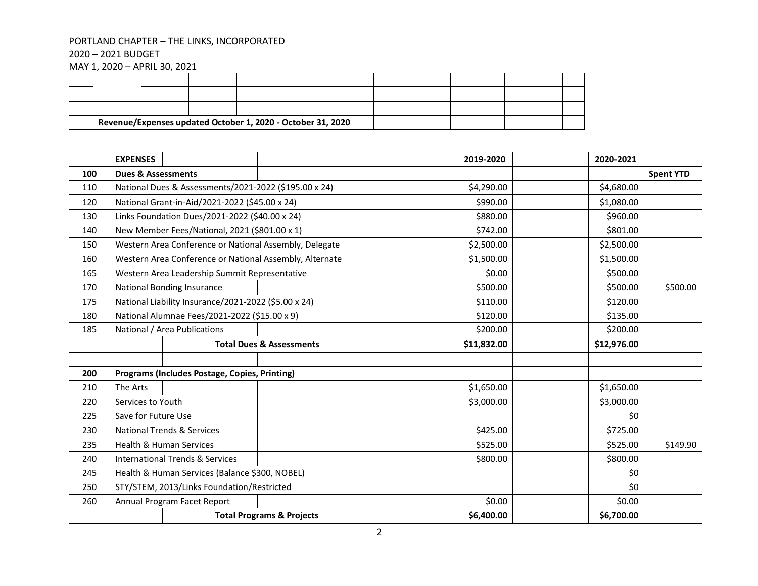– 2021 BUDGET

|  |  | Revenue/Expenses updated October 1, 2020 - October 31, 2020 |  |  |
|--|--|-------------------------------------------------------------|--|--|
|  |  |                                                             |  |  |
|  |  |                                                             |  |  |
|  |  |                                                             |  |  |

|     | <b>EXPENSES</b>                                      |                                               |  |                                                         | 2019-2020   | 2020-2021   |                  |
|-----|------------------------------------------------------|-----------------------------------------------|--|---------------------------------------------------------|-------------|-------------|------------------|
| 100 | <b>Dues &amp; Assessments</b>                        |                                               |  |                                                         |             |             | <b>Spent YTD</b> |
| 110 |                                                      |                                               |  | National Dues & Assessments/2021-2022 (\$195.00 x 24)   | \$4,290.00  | \$4,680.00  |                  |
| 120 | National Grant-in-Aid/2021-2022 (\$45.00 x 24)       |                                               |  |                                                         | \$990.00    | \$1,080.00  |                  |
| 130 | Links Foundation Dues/2021-2022 (\$40.00 x 24)       |                                               |  |                                                         | \$880.00    | \$960.00    |                  |
| 140 | New Member Fees/National, 2021 (\$801.00 x 1)        |                                               |  |                                                         | \$742.00    | \$801.00    |                  |
| 150 |                                                      |                                               |  | Western Area Conference or National Assembly, Delegate  | \$2,500.00  | \$2,500.00  |                  |
| 160 |                                                      |                                               |  | Western Area Conference or National Assembly, Alternate | \$1,500.00  | \$1,500.00  |                  |
| 165 |                                                      |                                               |  | Western Area Leadership Summit Representative           | \$0.00      | \$500.00    |                  |
| 170 | <b>National Bonding Insurance</b>                    |                                               |  |                                                         | \$500.00    | \$500.00    | \$500.00         |
| 175 | National Liability Insurance/2021-2022 (\$5.00 x 24) |                                               |  |                                                         | \$110.00    | \$120.00    |                  |
| 180 | National Alumnae Fees/2021-2022 (\$15.00 x 9)        |                                               |  |                                                         | \$120.00    | \$135.00    |                  |
| 185 | National / Area Publications                         |                                               |  |                                                         | \$200.00    | \$200.00    |                  |
|     |                                                      |                                               |  | <b>Total Dues &amp; Assessments</b>                     | \$11,832.00 | \$12,976.00 |                  |
|     |                                                      |                                               |  |                                                         |             |             |                  |
| 200 |                                                      | Programs (Includes Postage, Copies, Printing) |  |                                                         |             |             |                  |
| 210 | The Arts                                             |                                               |  |                                                         | \$1,650.00  | \$1,650.00  |                  |
| 220 | Services to Youth                                    |                                               |  |                                                         | \$3,000.00  | \$3,000.00  |                  |
| 225 | Save for Future Use                                  |                                               |  |                                                         |             | \$0         |                  |
| 230 | National Trends & Services                           |                                               |  |                                                         | \$425.00    | \$725.00    |                  |
| 235 | <b>Health &amp; Human Services</b>                   |                                               |  |                                                         | \$525.00    | \$525.00    | \$149.90         |
| 240 | <b>International Trends &amp; Services</b>           |                                               |  |                                                         | \$800.00    | \$800.00    |                  |
| 245 | Health & Human Services (Balance \$300, NOBEL)       |                                               |  |                                                         |             | \$0         |                  |
| 250 | STY/STEM, 2013/Links Foundation/Restricted           |                                               |  |                                                         |             | \$0         |                  |
| 260 | Annual Program Facet Report                          |                                               |  |                                                         | \$0.00      | \$0.00      |                  |
|     |                                                      | <b>Total Programs &amp; Projects</b>          |  |                                                         | \$6,400.00  | \$6,700.00  |                  |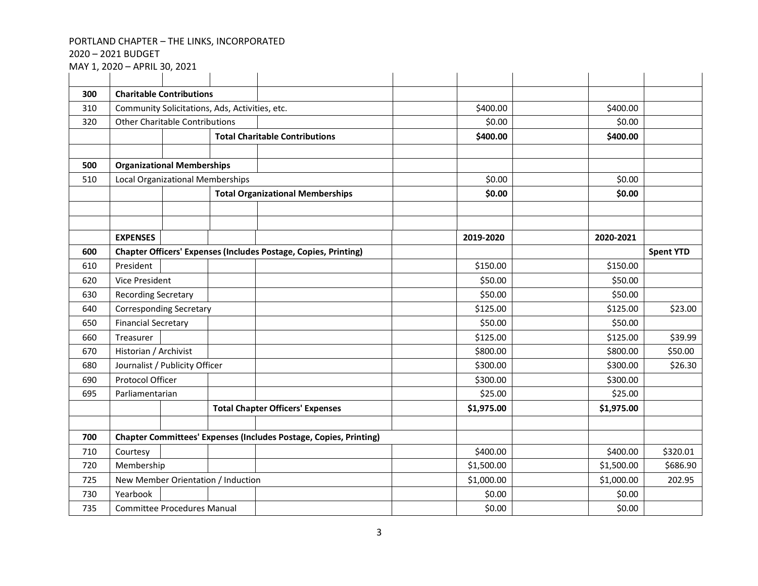– 2021 BUDGET

| 300 | <b>Charitable Contributions</b>                                          |                                         |                                    |                                                                        |            |            |                  |
|-----|--------------------------------------------------------------------------|-----------------------------------------|------------------------------------|------------------------------------------------------------------------|------------|------------|------------------|
| 310 | Community Solicitations, Ads, Activities, etc.                           |                                         |                                    |                                                                        | \$400.00   | \$400.00   |                  |
| 320 | <b>Other Charitable Contributions</b>                                    |                                         |                                    |                                                                        | \$0.00     | \$0.00     |                  |
|     |                                                                          |                                         |                                    | <b>Total Charitable Contributions</b>                                  | \$400.00   | \$400.00   |                  |
|     |                                                                          |                                         |                                    |                                                                        |            |            |                  |
| 500 | <b>Organizational Memberships</b>                                        |                                         |                                    |                                                                        |            |            |                  |
| 510 |                                                                          | <b>Local Organizational Memberships</b> |                                    |                                                                        | \$0.00     | \$0.00     |                  |
|     |                                                                          |                                         |                                    | <b>Total Organizational Memberships</b>                                | \$0.00     | \$0.00     |                  |
|     |                                                                          |                                         |                                    |                                                                        |            |            |                  |
|     |                                                                          |                                         |                                    |                                                                        |            |            |                  |
|     | <b>EXPENSES</b>                                                          |                                         |                                    |                                                                        | 2019-2020  | 2020-2021  |                  |
| 600 |                                                                          |                                         |                                    | <b>Chapter Officers' Expenses (Includes Postage, Copies, Printing)</b> |            |            | <b>Spent YTD</b> |
| 610 | President                                                                |                                         |                                    |                                                                        | \$150.00   | \$150.00   |                  |
| 620 | <b>Vice President</b>                                                    |                                         |                                    |                                                                        | \$50.00    | \$50.00    |                  |
| 630 | <b>Recording Secretary</b>                                               |                                         |                                    |                                                                        | \$50.00    | \$50.00    |                  |
| 640 | <b>Corresponding Secretary</b>                                           |                                         |                                    |                                                                        | \$125.00   | \$125.00   | \$23.00          |
| 650 | <b>Financial Secretary</b>                                               |                                         |                                    |                                                                        | \$50.00    | \$50.00    |                  |
| 660 | Treasurer                                                                |                                         |                                    |                                                                        | \$125.00   | \$125.00   | \$39.99          |
| 670 | Historian / Archivist                                                    |                                         |                                    |                                                                        | \$800.00   | \$800.00   | \$50.00          |
| 680 | Journalist / Publicity Officer                                           |                                         |                                    |                                                                        | \$300.00   | \$300.00   | \$26.30          |
| 690 | Protocol Officer                                                         |                                         |                                    |                                                                        | \$300.00   | \$300.00   |                  |
| 695 | Parliamentarian                                                          |                                         |                                    |                                                                        | \$25.00    | \$25.00    |                  |
|     |                                                                          |                                         |                                    | <b>Total Chapter Officers' Expenses</b>                                | \$1,975.00 | \$1,975.00 |                  |
|     |                                                                          |                                         |                                    |                                                                        |            |            |                  |
| 700 | <b>Chapter Committees' Expenses (Includes Postage, Copies, Printing)</b> |                                         |                                    |                                                                        |            |            |                  |
| 710 | Courtesy                                                                 |                                         |                                    |                                                                        | \$400.00   | \$400.00   | \$320.01         |
| 720 | Membership                                                               |                                         |                                    | \$1,500.00                                                             | \$1,500.00 | \$686.90   |                  |
| 725 |                                                                          |                                         | New Member Orientation / Induction |                                                                        | \$1,000.00 | \$1,000.00 | 202.95           |
| 730 | Yearbook                                                                 |                                         |                                    |                                                                        | \$0.00     | \$0.00     |                  |
| 735 | <b>Committee Procedures Manual</b>                                       |                                         |                                    | \$0.00                                                                 | \$0.00     |            |                  |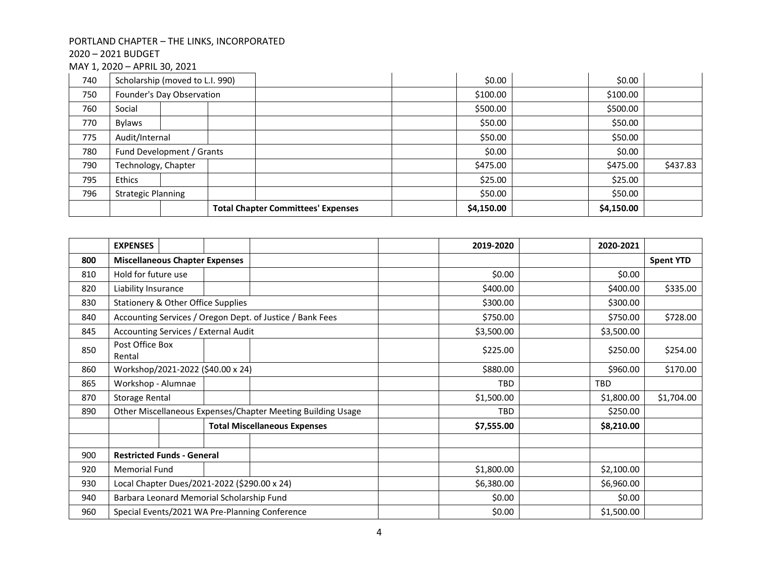## – 2021 BUDGET

| 740 |                           | Scholarship (moved to L.I. 990) |                                           |  | \$0.00     | \$0.00     |          |
|-----|---------------------------|---------------------------------|-------------------------------------------|--|------------|------------|----------|
| 750 |                           | Founder's Day Observation       |                                           |  | \$100.00   | \$100.00   |          |
| 760 | Social                    |                                 |                                           |  | \$500.00   | \$500.00   |          |
| 770 | <b>Bylaws</b>             |                                 |                                           |  | \$50.00    | \$50.00    |          |
| 775 | Audit/Internal            |                                 |                                           |  | \$50.00    | \$50.00    |          |
| 780 | Fund Development / Grants |                                 |                                           |  | \$0.00     | \$0.00     |          |
| 790 | Technology, Chapter       |                                 |                                           |  | \$475.00   | \$475.00   | \$437.83 |
| 795 | Ethics                    |                                 |                                           |  | \$25.00    | \$25.00    |          |
| 796 | <b>Strategic Planning</b> |                                 |                                           |  | \$50.00    | \$50.00    |          |
|     |                           |                                 | <b>Total Chapter Committees' Expenses</b> |  | \$4,150.00 | \$4,150.00 |          |

|     | <b>EXPENSES</b>                                |  |                                                             | 2019-2020  | 2020-2021  |                  |
|-----|------------------------------------------------|--|-------------------------------------------------------------|------------|------------|------------------|
| 800 | <b>Miscellaneous Chapter Expenses</b>          |  |                                                             |            |            | <b>Spent YTD</b> |
| 810 | Hold for future use                            |  |                                                             | \$0.00     | \$0.00     |                  |
| 820 | Liability Insurance                            |  |                                                             | \$400.00   | \$400.00   | \$335.00         |
| 830 | Stationery & Other Office Supplies             |  |                                                             | \$300.00   | \$300.00   |                  |
| 840 |                                                |  | Accounting Services / Oregon Dept. of Justice / Bank Fees   | \$750.00   | \$750.00   | \$728.00         |
| 845 | Accounting Services / External Audit           |  |                                                             | \$3,500.00 | \$3,500.00 |                  |
| 850 | Post Office Box<br>Rental                      |  |                                                             |            | \$250.00   | \$254.00         |
| 860 | Workshop/2021-2022 (\$40.00 x 24)              |  |                                                             | \$880.00   | \$960.00   | \$170.00         |
| 865 | Workshop - Alumnae                             |  |                                                             | TBD        | TBD        |                  |
| 870 | <b>Storage Rental</b>                          |  |                                                             | \$1,500.00 | \$1,800.00 | \$1,704.00       |
| 890 |                                                |  | Other Miscellaneous Expenses/Chapter Meeting Building Usage | <b>TBD</b> | \$250.00   |                  |
|     |                                                |  | <b>Total Miscellaneous Expenses</b>                         | \$7,555.00 | \$8,210.00 |                  |
|     |                                                |  |                                                             |            |            |                  |
| 900 | <b>Restricted Funds - General</b>              |  |                                                             |            |            |                  |
| 920 | <b>Memorial Fund</b>                           |  |                                                             | \$1,800.00 | \$2,100.00 |                  |
| 930 | Local Chapter Dues/2021-2022 (\$290.00 x 24)   |  |                                                             | \$6,380.00 | \$6,960.00 |                  |
| 940 | Barbara Leonard Memorial Scholarship Fund      |  |                                                             | \$0.00     | \$0.00     |                  |
| 960 | Special Events/2021 WA Pre-Planning Conference |  |                                                             | \$0.00     | \$1,500.00 |                  |